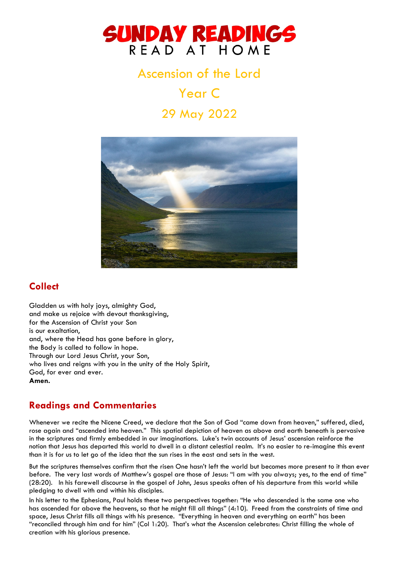# SUNDAY READINGS READ AT HOME

# Ascension of the Lord Year C 29 May 2022



## **Collect**

Gladden us with holy joys, almighty God, and make us rejoice with devout thanksgiving, for the Ascension of Christ your Son is our exaltation, and, where the Head has gone before in glory, the Body is called to follow in hope. Through our Lord Jesus Christ, your Son, who lives and reigns with you in the unity of the Holy Spirit, God, for ever and ever. **Amen.** 

### **Readings and Commentaries**

Whenever we recite the Nicene Creed, we declare that the Son of God "came down from heaven," suffered, died, rose again and "ascended into heaven." This spatial depiction of heaven as above and earth beneath is pervasive in the scriptures and firmly embedded in our imaginations. Luke's twin accounts of Jesus' ascension reinforce the notion that Jesus has departed this world to dwell in a distant celestial realm. It's no easier to re-imagine this event than it is for us to let go of the idea that the sun rises in the east and sets in the west.

But the scriptures themselves confirm that the risen One hasn't left the world but becomes more present to it than ever before. The very last words of Matthew's gospel are those of Jesus: "I am with you always; yes, to the end of time" (28:20). In his farewell discourse in the gospel of John, Jesus speaks often of his departure from this world while pledging to dwell with and within his disciples.

In his letter to the Ephesians, Paul holds these two perspectives together: "He who descended is the same one who has ascended far above the heavens, so that he might fill all things" (4:10). Freed from the constraints of time and space, Jesus Christ fills all things with his presence. "Everything in heaven and everything on earth" has been "reconciled through him and for him" (Col 1:20). That's what the Ascension celebrates: Christ filling the whole of creation with his glorious presence.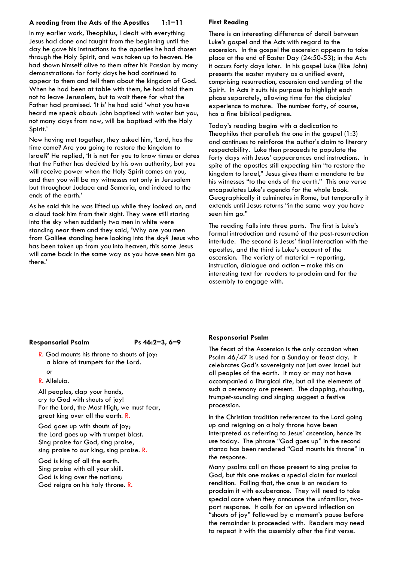#### **A reading from the Acts of the Apostles 1:1−11**

In my earlier work, Theophilus, I dealt with everything Jesus had done and taught from the beginning until the day he gave his instructions to the apostles he had chosen through the Holy Spirit, and was taken up to heaven. He had shown himself alive to them after his Passion by many demonstrations: for forty days he had continued to appear to them and tell them about the kingdom of God. When he had been at table with them, he had told them not to leave Jerusalem, but to wait there for what the Father had promised. 'It is' he had said 'what you have heard me speak about: John baptised with water but you, not many days from now, will be baptised with the Holy Spirit.'

Now having met together, they asked him, 'Lord, has the time come? Are you going to restore the kingdom to Israel?' He replied, 'It is not for you to know times or dates that the Father has decided by his own authority, but you will receive power when the Holy Spirit comes on you, and then you will be my witnesses not only in Jerusalem but throughout Judaea and Samaria, and indeed to the ends of the earth.'

As he said this he was lifted up while they looked on, and a cloud took him from their sight. They were still staring into the sky when suddenly two men in white were standing near them and they said, 'Why are you men from Galilee standing here looking into the sky? Jesus who has been taken up from you into heaven, this same Jesus will come back in the same way as you have seen him go there.'

#### **First Reading**

There is an interesting difference of detail between Luke's gospel and the Acts with regard to the ascension. In the gospel the ascension appears to take place at the end of Easter Day (24:50-53); in the Acts it occurs forty days later. In his gospel Luke (like John) presents the easter mystery as a unified event, comprising resurrection, ascension and sending of the Spirit. In Acts it suits his purpose to highlight each phase separately, allowing time for the disciples' experience to mature. The number forty, of course, has a fine biblical pedigree.

Today's reading begins with a dedication to Theophilus that parallels the one in the gospel (1:3) and continues to reinforce the author's claim to literary respectability. Luke then proceeds to populate the forty days with Jesus' appearances and instructions. In spite of the apostles still expecting him "to restore the kingdom to Israel," Jesus gives them a mandate to be his witnesses "to the ends of the earth." This one verse encapsulates Luke's agenda for the whole book. Geographically it culminates in Rome, but temporally it extends until Jesus returns "in the same way you have seen him go."

The reading falls into three parts. The first is Luke's formal introduction and resumé of the post-resurrection interlude. The second is Jesus' final interaction with the apostles, and the third is Luke's account of the ascension. The variety of material – reporting, instruction, dialogue and action – make this an interesting text for readers to proclaim and for the assembly to engage with.

#### **Responsorial Psalm Ps 46:2−3, 6−9**

- R. God mounts his throne to shouts of joy: a blare of trumpets for the Lord. or
- R. Alleluia.

All peoples, clap your hands, cry to God with shouts of joy! For the Lord, the Most High, we must fear, great king over all the earth. R.

God goes up with shouts of joy; the Lord goes up with trumpet blast. Sing praise for God, sing praise, sing praise to our king, sing praise. R.

God is king of all the earth. Sing praise with all your skill. God is king over the nations; God reigns on his holy throne. R.

#### **Responsorial Psalm**

The feast of the Ascension is the only occasion when Psalm 46/47 is used for a Sunday or feast day. It celebrates God's sovereignty not just over Israel but all peoples of the earth. It may or may not have accompanied a liturgical rite, but all the elements of such a ceremony are present. The clapping, shouting, trumpet-sounding and singing suggest a festive procession.

In the Christian tradition references to the Lord going up and reigning on a holy throne have been interpreted as referring to Jesus' ascension, hence its use today. The phrase "God goes up" in the second stanza has been rendered "God mounts his throne" in the response.

Many psalms call on those present to sing praise to God, but this one makes a special claim for musical rendition. Failing that, the onus is on readers to proclaim it with exuberance. They will need to take special care when they announce the unfamiliar, twopart response. It calls for an upward inflection on "shouts of joy" followed by a moment's pause before the remainder is proceeded with. Readers may need to repeat it with the assembly after the first verse.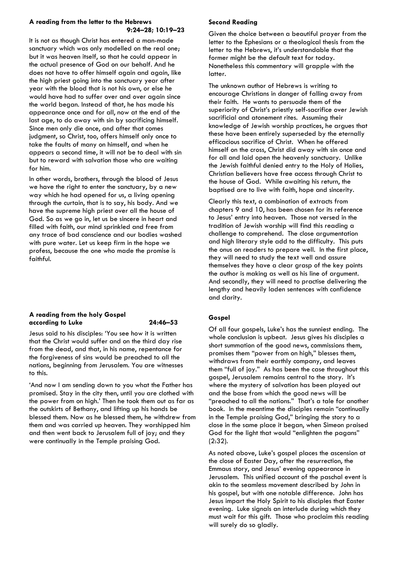### **A reading from the letter to the Hebrews 9:24–28; 10:19–23**

It is not as though Christ has entered a man-made sanctuary which was only modelled on the real one; but it was heaven itself, so that he could appear in the actual presence of God on our behalf. And he does not have to offer himself again and again, like the high priest going into the sanctuary year after year with the blood that is not his own, or else he would have had to suffer over and over again since the world began. Instead of that, he has made his appearance once and for all, now at the end of the last age, to do away with sin by sacrificing himself. Since men only die once, and after that comes judgment, so Christ, too, offers himself only once to take the faults of many on himself, and when he appears a second time, it will not be to deal with sin but to reward with salvation those who are waiting for him.

In other words, brothers, through the blood of Jesus we have the right to enter the sanctuary, by a new way which he had opened for us, a living opening through the curtain, that is to say, his body. And we have the supreme high priest over all the house of God. So as we go in, let us be sincere in heart and filled with faith, our mind sprinkled and free from any trace of bad conscience and our bodies washed with pure water. Let us keep firm in the hope we profess, because the one who made the promise is faithful.

#### **A reading from the holy Gospel according to Luke 24:46–53**

Jesus said to his disciples: 'You see how it is written that the Christ would suffer and on the third day rise from the dead, and that, in his name, repentance for the forgiveness of sins would be preached to all the nations, beginning from Jerusalem. You are witnesses to this.

'And now I am sending down to you what the Father has promised. Stay in the city then, until you are clothed with the power from on high.' Then he took them out as far as the outskirts of Bethany, and lifting up his hands be blessed them. Now as he blessed them, he withdrew from them and was carried up heaven. They worshipped him and then went back to Jerusalem full of joy; and they were continually in the Temple praising God.

### **Second Reading**

Given the choice between a beautiful prayer from the letter to the Ephesians or a theological thesis from the letter to the Hebrews, it's understandable that the former might be the default text for today. Nonetheless this commentary will grapple with the latter.

The unknown author of Hebrews is writing to encourage Christians in danger of falling away from their faith. He wants to persuade them of the superiority of Christ's priestly self-sacrifice over Jewish sacrificial and atonement rites. Assuming their knowledge of Jewish worship practices, he argues that these have been entirely superseded by the eternally efficacious sacrifice of Christ. When he offered himself on the cross, Christ did away with sin once and for all and laid open the heavenly sanctuary. Unlike the Jewish faithful denied entry to the Holy of Holies, Christian believers have free access through Christ to the house of God. While awaiting his return, the baptised are to live with faith, hope and sincerity.

Clearly this text, a combination of extracts from chapters 9 and 10, has been chosen for its reference to Jesus' entry into heaven. Those not versed in the tradition of Jewish worship will find this reading a challenge to comprehend. The close argumentation and high literary style add to the difficulty. This puts the onus on readers to prepare well. In the first place, they will need to study the text well and assure themselves they have a clear grasp of the key points the author is making as well as his line of argument. And secondly, they will need to practise delivering the lengthy and heavily laden sentences with confidence and clarity.

#### **Gospel**

Of all four gospels, Luke's has the sunniest ending. The whole conclusion is upbeat. Jesus gives his disciples a short summation of the good news, commissions them, promises them "power from on high," blesses them, withdraws from their earthly company, and leaves them "full of joy." As has been the case throughout this gospel, Jerusalem remains central to the story. It's where the mystery of salvation has been played out and the base from which the good news will be "preached to all the nations." That's a tale for another book. In the meantime the disciples remain "continually in the Temple praising God," bringing the story to a close in the same place it began, when Simeon praised God for the light that would "enlighten the pagans" (2:32).

As noted above, Luke's gospel places the ascension at the close of Easter Day, after the resurrection, the Emmaus story, and Jesus' evening appearance in Jerusalem. This unified account of the paschal event is akin to the seamless movement described by John in his gospel, but with one notable difference. John has Jesus impart the Holy Spirit to his disciples that Easter evening. Luke signals an interlude during which they must wait for this gift. Those who proclaim this reading will surely do so gladly.